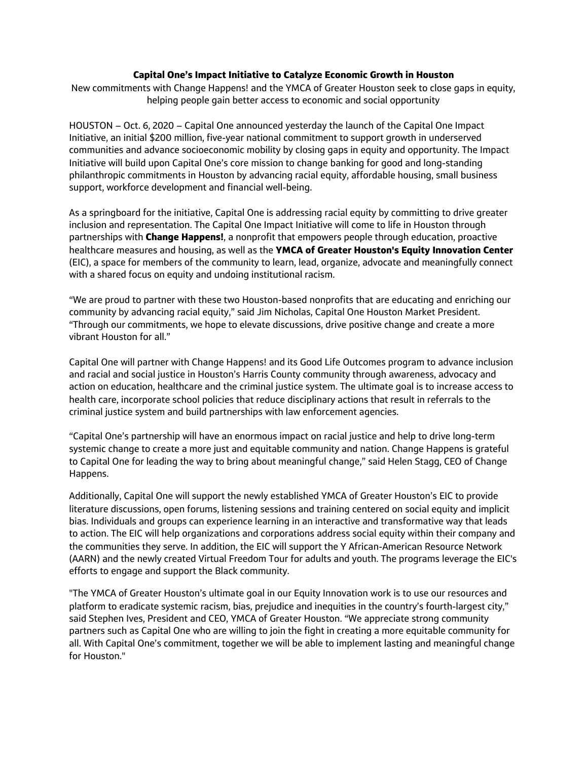## **Capital One's Impact Initiative to Catalyze Economic Growth in Houston**

New commitments with Change Happens! and the YMCA of Greater Houston seek to close gaps in equity, helping people gain better access to economic and social opportunity

HOUSTON – Oct. 6, 2020 – Capital One announced yesterday the launch of the Capital One Impact Initiative, an initial \$200 million, five-year national commitment to support growth in underserved communities and advance socioeconomic mobility by closing gaps in equity and opportunity. The Impact Initiative will build upon Capital One's core mission to change banking for good and long-standing philanthropic commitments in Houston by advancing racial equity, affordable housing, small business support, workforce development and financial well-being.

As a springboard for the initiative, Capital One is addressing racial equity by committing to drive greater inclusion and representation. The Capital One Impact Initiative will come to life in Houston through partnerships with **Change Happens!**, a nonprofit that empowers people through education, proactive healthcare measures and housing, as well as the **YMCA of Greater Houston's Equity Innovation Center** (EIC), a space for members of the community to learn, lead, organize, advocate and meaningfully connect with a shared focus on equity and undoing institutional racism.

"We are proud to partner with these two Houston-based nonprofits that are educating and enriching our community by advancing racial equity," said Jim Nicholas, Capital One Houston Market President. "Through our commitments, we hope to elevate discussions, drive positive change and create a more vibrant Houston for all."

Capital One will partner with Change Happens! and its Good Life Outcomes program to advance inclusion and racial and social justice in Houston's Harris County community through awareness, advocacy and action on education, healthcare and the criminal justice system. The ultimate goal is to increase access to health care, incorporate school policies that reduce disciplinary actions that result in referrals to the criminal justice system and build partnerships with law enforcement agencies.

"Capital One's partnership will have an enormous impact on racial justice and help to drive long-term systemic change to create a more just and equitable community and nation. Change Happens is grateful to Capital One for leading the way to bring about meaningful change," said Helen Stagg, CEO of Change Happens.

Additionally, Capital One will support the newly established YMCA of Greater Houston's EIC to provide literature discussions, open forums, listening sessions and training centered on social equity and implicit bias. Individuals and groups can experience learning in an interactive and transformative way that leads to action. The EIC will help organizations and corporations address social equity within their company and the communities they serve. In addition, the EIC will support the Y African-American Resource Network (AARN) and the newly created Virtual Freedom Tour for adults and youth. The programs leverage the EIC's efforts to engage and support the Black community.

"The YMCA of Greater Houston's ultimate goal in our Equity Innovation work is to use our resources and platform to eradicate systemic racism, bias, prejudice and inequities in the country's fourth-largest city," said Stephen Ives, President and CEO, YMCA of Greater Houston. "We appreciate strong community partners such as Capital One who are willing to join the fight in creating a more equitable community for all. With Capital One's commitment, together we will be able to implement lasting and meaningful change for Houston."